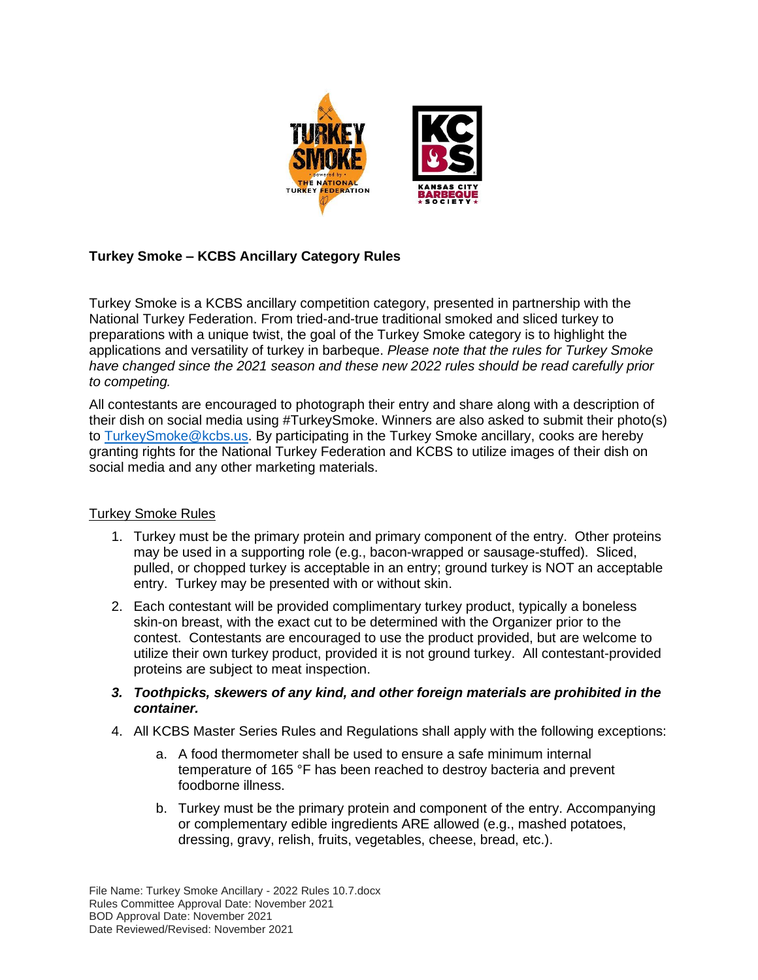

## **Turkey Smoke – KCBS Ancillary Category Rules**

Turkey Smoke is a KCBS ancillary competition category, presented in partnership with the National Turkey Federation. From tried-and-true traditional smoked and sliced turkey to preparations with a unique twist, the goal of the Turkey Smoke category is to highlight the applications and versatility of turkey in barbeque. *Please note that the rules for Turkey Smoke have changed since the 2021 season and these new 2022 rules should be read carefully prior to competing.*

All contestants are encouraged to photograph their entry and share along with a description of their dish on social media using #TurkeySmoke. Winners are also asked to submit their photo(s) to [TurkeySmoke@kcbs.us.](mailto:CONTEST@kcbs.us) By participating in the Turkey Smoke ancillary, cooks are hereby granting rights for the National Turkey Federation and KCBS to utilize images of their dish on social media and any other marketing materials.

## Turkey Smoke Rules

- 1. Turkey must be the primary protein and primary component of the entry. Other proteins may be used in a supporting role (e.g., bacon-wrapped or sausage-stuffed). Sliced, pulled, or chopped turkey is acceptable in an entry; ground turkey is NOT an acceptable entry. Turkey may be presented with or without skin.
- 2. Each contestant will be provided complimentary turkey product, typically a boneless skin-on breast, with the exact cut to be determined with the Organizer prior to the contest. Contestants are encouraged to use the product provided, but are welcome to utilize their own turkey product, provided it is not ground turkey. All contestant-provided proteins are subject to meat inspection.
- *3. Toothpicks, skewers of any kind, and other foreign materials are prohibited in the container.*
- 4. All KCBS Master Series Rules and Regulations shall apply with the following exceptions:
	- a. A food thermometer shall be used to ensure a safe minimum internal temperature of 165 °F has been reached to destroy bacteria and prevent foodborne illness.
	- b. Turkey must be the primary protein and component of the entry. Accompanying or complementary edible ingredients ARE allowed (e.g., mashed potatoes, dressing, gravy, relish, fruits, vegetables, cheese, bread, etc.).